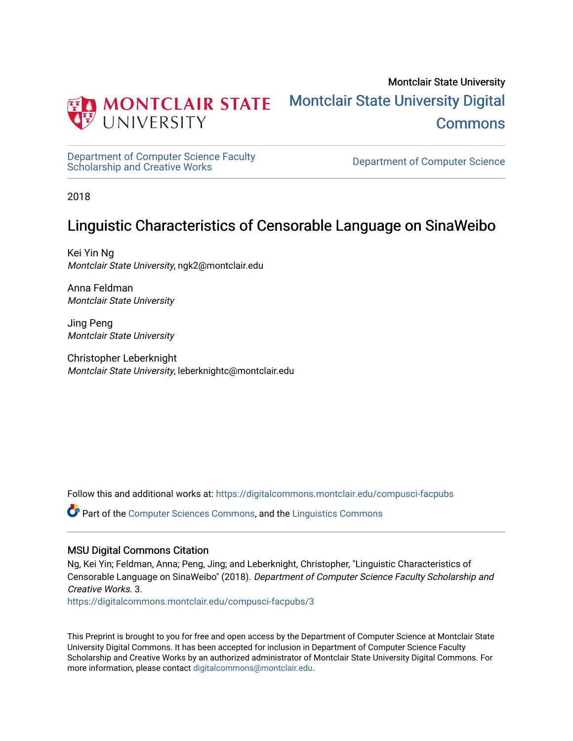

Montclair State University [Montclair State University Digital](https://digitalcommons.montclair.edu/)  **Commons** 

[Department of Computer Science Faculty](https://digitalcommons.montclair.edu/compusci-facpubs)  Department of Computer Science Faculty<br>[Scholarship and Creative Works](https://digitalcommons.montclair.edu/compusci-facpubs) Department of Computer Science

2018

# Linguistic Characteristics of Censorable Language on SinaWeibo

Kei Yin Ng Montclair State University, ngk2@montclair.edu

Anna Feldman Montclair State University

Jing Peng Montclair State University

Christopher Leberknight Montclair State University, leberknightc@montclair.edu

Follow this and additional works at: [https://digitalcommons.montclair.edu/compusci-facpubs](https://digitalcommons.montclair.edu/compusci-facpubs?utm_source=digitalcommons.montclair.edu%2Fcompusci-facpubs%2F3&utm_medium=PDF&utm_campaign=PDFCoverPages)

Part of the [Computer Sciences Commons](http://network.bepress.com/hgg/discipline/142?utm_source=digitalcommons.montclair.edu%2Fcompusci-facpubs%2F3&utm_medium=PDF&utm_campaign=PDFCoverPages), and the [Linguistics Commons](http://network.bepress.com/hgg/discipline/371?utm_source=digitalcommons.montclair.edu%2Fcompusci-facpubs%2F3&utm_medium=PDF&utm_campaign=PDFCoverPages)

#### MSU Digital Commons Citation

Ng, Kei Yin; Feldman, Anna; Peng, Jing; and Leberknight, Christopher, "Linguistic Characteristics of Censorable Language on SinaWeibo" (2018). Department of Computer Science Faculty Scholarship and Creative Works. 3.

[https://digitalcommons.montclair.edu/compusci-facpubs/3](https://digitalcommons.montclair.edu/compusci-facpubs/3?utm_source=digitalcommons.montclair.edu%2Fcompusci-facpubs%2F3&utm_medium=PDF&utm_campaign=PDFCoverPages) 

This Preprint is brought to you for free and open access by the Department of Computer Science at Montclair State University Digital Commons. It has been accepted for inclusion in Department of Computer Science Faculty Scholarship and Creative Works by an authorized administrator of Montclair State University Digital Commons. For more information, please contact [digitalcommons@montclair.edu](mailto:digitalcommons@montclair.edu).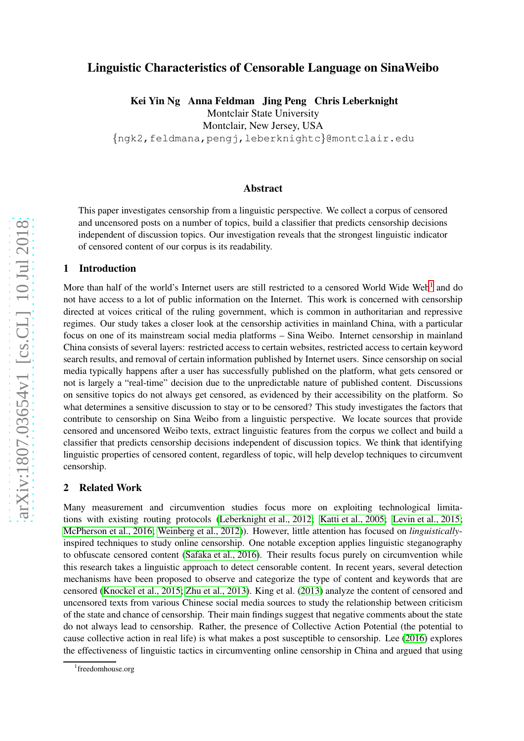# Linguistic Characteristics of Censorable Language on SinaWeibo

Kei Yin Ng Anna Feldman Jing Peng Chris Leberknight

Montclair State University

Montclair, New Jersey, USA

{ngk2,feldmana,pengj,leberknightc }@montclair.edu

#### Abstract

This paper investigates censorship from a linguistic perspective. We collect a corpus of censored and uncensored posts on a number of topics, build a classifier that predicts censorship decisions independent of discussion topics. Our investigation reveals that the strongest linguistic indicator of censored content of our corpus is its readability.

#### 1 Introduction

More than half of the world's Internet users are still restricted to a censored World Wide Web<sup>[1](#page-1-0)</sup> and do not have access to a lot of public information on the Internet. This work is concerned with censorship directed at voices critical of the ruling government, which is common in authoritarian and repressive regimes. Our study takes a closer look at the censorship activities in mainland China, with a particular focus on one of its mainstream social media platforms – Sina Weibo. Internet censorship in mainland China consists of several layers: restricted access to certain websites, restricted access to certain keyword search results, and removal of certain information published by Internet users. Since censorship on social media typically happens after a user has successfully published on the platform, what gets censored or not is largely a "real-time" decision due to the unpredictable nature of published content. Discussions on sensitive topics do not always get censored, as evidenced by their accessibility on the platform. So what determines a sensitive discussion to stay or to be censored? This study investigates the factors that contribute to censorship on Sina Weibo from a linguistic perspective. We locate sources that provide censored and uncensored Weibo texts, extract linguistic features from the corpus we collect and build a classifier that predicts censorship decisions independent of discussion topics. We think that identifying linguistic properties of censored content, regardless of topic, will help develop techniques to circumvent censorship.

#### 2 Related Work

Many measurement and circumvention studies focus more on exploiting technological limitations with existing routing protocols [\(Leberknight et al.,](#page-10-0) 2012; [Katti et al., 2005;](#page-10-1) [Levin et al., 2015;](#page-10-2) [McPherson et al., 2016;](#page-10-3) [Weinberg et al., 2012\)](#page-11-0)). However, little attention has focused on *linguistically* inspired techniques to study online censorship. One notable exception applies linguistic steganography to obfuscate censored content [\(Safaka et al., 2016\)](#page-11-1). Their results focus purely on circumvention while this research takes a linguistic approach to detect censorable content. In recent years, several detection mechanisms have been proposed to observe and categorize the type of content and keywords that are censored [\(Knockel et al., 2015;](#page-10-4) [Zhu et al., 2013\)](#page-11-2). King et al. [\(2013\)](#page-10-5) analyze the content of censored and uncensored texts from various Chinese social media sources to study the relationship between criticism of the state and chance of censorship. Their main findings suggest that negative comments about the state do not always lead to censorship. Rather, the presence of Collective Action Potential (the potential to cause collective action in real life) is what makes a post susceptible to censorship. Lee [\(2016\)](#page-10-6) explores the effectiveness of linguistic tactics in circumventing online censorship in China and argued that using

<span id="page-1-0"></span><sup>1</sup> freedomhouse.org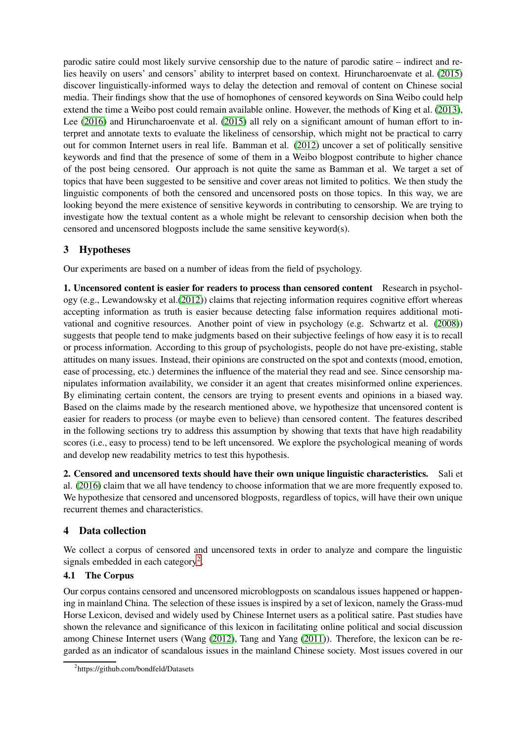parodic satire could most likely survive censorship due to the nature of parodic satire – indirect and relies heavily on users' and censors' ability to interpret based on context. Hiruncharoenvate et al. [\(2015\)](#page-10-7) discover linguistically-informed ways to delay the detection and removal of content on Chinese social media. Their findings show that the use of homophones of censored keywords on Sina Weibo could help extend the time a Weibo post could remain available online. However, the methods of King et al. [\(2013\)](#page-10-5), Lee [\(2016\)](#page-10-6) and Hiruncharoenvate et al. [\(2015\)](#page-10-7) all rely on a significant amount of human effort to interpret and annotate texts to evaluate the likeliness of censorship, which might not be practical to carry out for common Internet users in real life. Bamman et al. [\(2012\)](#page-10-8) uncover a set of politically sensitive keywords and find that the presence of some of them in a Weibo blogpost contribute to higher chance of the post being censored. Our approach is not quite the same as Bamman et al. We target a set of topics that have been suggested to be sensitive and cover areas not limited to politics. We then study the linguistic components of both the censored and uncensored posts on those topics. In this way, we are looking beyond the mere existence of sensitive keywords in contributing to censorship. We are trying to investigate how the textual content as a whole might be relevant to censorship decision when both the censored and uncensored blogposts include the same sensitive keyword(s).

# 3 Hypotheses

Our experiments are based on a number of ideas from the field of psychology.

1. Uncensored content is easier for readers to process than censored content Research in psychology (e.g., Lewandowsky et al.[\(2012\)](#page-10-9)) claims that rejecting information requires cognitive effort whereas accepting information as truth is easier because detecting false information requires additional motivational and cognitive resources. Another point of view in psychology (e.g. Schwartz et al. [\(2008\)](#page-11-3)) suggests that people tend to make judgments based on their subjective feelings of how easy it is to recall or process information. According to this group of psychologists, people do not have pre-existing, stable attitudes on many issues. Instead, their opinions are constructed on the spot and contexts (mood, emotion, ease of processing, etc.) determines the influence of the material they read and see. Since censorship manipulates information availability, we consider it an agent that creates misinformed online experiences. By eliminating certain content, the censors are trying to present events and opinions in a biased way. Based on the claims made by the research mentioned above, we hypothesize that uncensored content is easier for readers to process (or maybe even to believe) than censored content. The features described in the following sections try to address this assumption by showing that texts that have high readability scores (i.e., easy to process) tend to be left uncensored. We explore the psychological meaning of words and develop new readability metrics to test this hypothesis.

2. Censored and uncensored texts should have their own unique linguistic characteristics. Sali et al. [\(2016\)](#page-11-4) claim that we all have tendency to choose information that we are more frequently exposed to. We hypothesize that censored and uncensored blogposts, regardless of topics, will have their own unique recurrent themes and characteristics.

# 4 Data collection

We collect a corpus of censored and uncensored texts in order to analyze and compare the linguistic signals embedded in each category<sup>[2](#page-2-0)</sup>.

#### 4.1 The Corpus

Our corpus contains censored and uncensored microblogposts on scandalous issues happened or happening in mainland China. The selection of these issues is inspired by a set of lexicon, namely the Grass-mud Horse Lexicon, devised and widely used by Chinese Internet users as a political satire. Past studies have shown the relevance and significance of this lexicon in facilitating online political and social discussion among Chinese Internet users (Wang [\(2012\)](#page-11-5), Tang and Yang [\(2011\)](#page-11-6)). Therefore, the lexicon can be regarded as an indicator of scandalous issues in the mainland Chinese society. Most issues covered in our

<span id="page-2-0"></span><sup>&</sup>lt;sup>2</sup>https://github.com/bondfeld/Datasets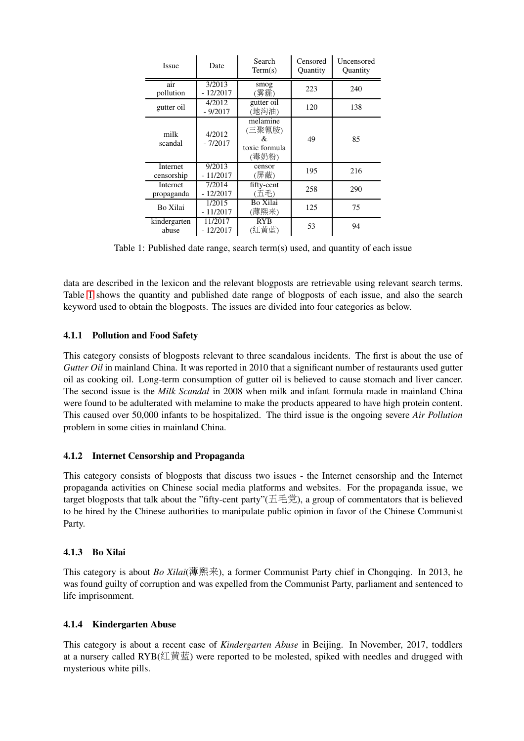| <b>Issue</b>           | Date                  | Search<br>Term(s)                                 | Censored<br>Quantity | Uncensored<br>Quantity |  |
|------------------------|-----------------------|---------------------------------------------------|----------------------|------------------------|--|
| air<br>pollution       | 3/2013<br>$-12/2017$  | smog<br>(雾霾)                                      | 223                  | 240                    |  |
| gutter oil             | 4/2012<br>$-9/2017$   | gutter oil<br>(地沟油)                               | 120                  | 138                    |  |
| milk<br>scandal        | 4/2012<br>$-7/2017$   | melamine<br>(三聚氰胺)<br>&<br>toxic formula<br>(毒奶粉) | 49                   | 85                     |  |
| Internet<br>censorship | 9/2013<br>$-11/2017$  | censor<br>(屏蔽)                                    | 195                  | 216                    |  |
| Internet<br>propaganda | 7/2014<br>$-12/2017$  | fifty-cent<br>(五毛)                                | 258                  | 290                    |  |
| Bo Xilai               | 1/2015<br>$-11/2017$  | Bo Xilai<br>(薄熙来)                                 | 125                  | 75                     |  |
| kindergarten<br>abuse  | 11/2017<br>$-12/2017$ | <b>RYB</b><br>(红黄蓝)                               | 53                   | 94                     |  |

<span id="page-3-0"></span>Table 1: Published date range, search term(s) used, and quantity of each issue

data are described in the lexicon and the relevant blogposts are retrievable using relevant search terms. Table [1](#page-3-0) shows the quantity and published date range of blogposts of each issue, and also the search keyword used to obtain the blogposts. The issues are divided into four categories as below.

#### 4.1.1 Pollution and Food Safety

This category consists of blogposts relevant to three scandalous incidents. The first is about the use of *Gutter Oil* in mainland China. It was reported in 2010 that a significant number of restaurants used gutter oil as cooking oil. Long-term consumption of gutter oil is believed to cause stomach and liver cancer. The second issue is the *Milk Scandal* in 2008 when milk and infant formula made in mainland China were found to be adulterated with melamine to make the products appeared to have high protein content. This caused over 50,000 infants to be hospitalized. The third issue is the ongoing severe *Air Pollution* problem in some cities in mainland China.

#### 4.1.2 Internet Censorship and Propaganda

This category consists of blogposts that discuss two issues - the Internet censorship and the Internet propaganda activities on Chinese social media platforms and websites. For the propaganda issue, we target blogposts that talk about the "fifty-cent party"(五毛党), a group of commentators that is believed to be hired by the Chinese authorities to manipulate public opinion in favor of the Chinese Communist Party.

#### 4.1.3 Bo Xilai

This category is about *Bo Xilai*(薄熙来), a former Communist Party chief in Chongqing. In 2013, he was found guilty of corruption and was expelled from the Communist Party, parliament and sentenced to life imprisonment.

#### 4.1.4 Kindergarten Abuse

This category is about a recent case of *Kindergarten Abuse* in Beijing. In November, 2017, toddlers at a nursery called RYB(红黄蓝) were reported to be molested, spiked with needles and drugged with mysterious white pills.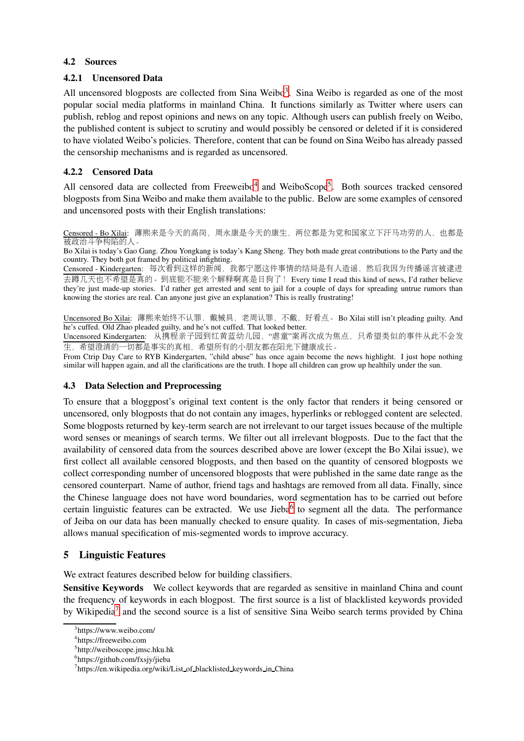#### 4.2 Sources

#### 4.2.1 Uncensored Data

All uncensored blogposts are collected from Sina Weibo<sup>[3](#page-4-0)</sup>. Sina Weibo is regarded as one of the most popular social media platforms in mainland China. It functions similarly as Twitter where users can publish, reblog and repost opinions and news on any topic. Although users can publish freely on Weibo, the published content is subject to scrutiny and would possibly be censored or deleted if it is considered to have violated Weibo's policies. Therefore, content that can be found on Sina Weibo has already passed the censorship mechanisms and is regarded as uncensored.

#### 4.2.2 Censored Data

All censored data are collected from Freeweibo<sup>[4](#page-4-1)</sup> and WeiboScope<sup>[5](#page-4-2)</sup>. Both sources tracked censored blogposts from Sina Weibo and make them available to the public. Below are some examples of censored and uncensored posts with their English translations:

Censored - Bo Xilai: 薄熙来是今天的高岗, 周永康是今天的康生, 两位都是为党和国家立下汗马功劳的人, 也都是 被政治斗争构陷的人。

Bo Xilai is today's Gao Gang. Zhou Yongkang is today's Kang Sheng. They both made great contributions to the Party and the country. They both got framed by political infighting.

Censored - Kindergarten: 每次看到这样的新闻, 我都宁愿这件事情的结局是有人造谣, 然后我因为传播谣言被逮进 去蹲几天也不希望是真的。到底能不能来个解释啊真是日狗了! Every time I read this kind of news, I'd rather believe they're just made-up stories. I'd rather get arrested and sent to jail for a couple of days for spreading untrue rumors than knowing the stories are real. Can anyone just give an explanation? This is really frustrating!

Uncensored Bo Xilai: 薄熙来始终不认罪, 戴械具, 老周认罪, 不戴, 好看点。 Bo Xilai still isn't pleading guilty. And he's cuffed. Old Zhao pleaded guilty, and he's not cuffed. That looked better.

Uncensored Kindergarten: 从携程亲子园到红黄蓝幼儿园, "虐童"案再次成为焦点, 只希望类似的事件从此不会发 生,希望澄清的一切都是事实的真相,希望所有的小朋友都在阳光下健康成长。

From Ctrip Day Care to RYB Kindergarten, "child abuse" has once again become the news highlight. I just hope nothing similar will happen again, and all the clarifications are the truth. I hope all children can grow up healthily under the sun.

#### 4.3 Data Selection and Preprocessing

To ensure that a bloggpost's original text content is the only factor that renders it being censored or uncensored, only blogposts that do not contain any images, hyperlinks or reblogged content are selected. Some blogposts returned by key-term search are not irrelevant to our target issues because of the multiple word senses or meanings of search terms. We filter out all irrelevant blogposts. Due to the fact that the availability of censored data from the sources described above are lower (except the Bo Xilai issue), we first collect all available censored blogposts, and then based on the quantity of censored blogposts we collect corresponding number of uncensored blogposts that were published in the same date range as the censored counterpart. Name of author, friend tags and hashtags are removed from all data. Finally, since the Chinese language does not have word boundaries, word segmentation has to be carried out before certain linguistic features can be extracted. We use Jieba<sup>[6](#page-4-3)</sup> to segment all the data. The performance of Jeiba on our data has been manually checked to ensure quality. In cases of mis-segmentation, Jieba allows manual specification of mis-segmented words to improve accuracy.

# 5 Linguistic Features

We extract features described below for building classifiers.

Sensitive Keywords We collect keywords that are regarded as sensitive in mainland China and count the frequency of keywords in each blogpost. The first source is a list of blacklisted keywords provided by Wikipedia<sup>[7](#page-4-4)</sup> and the second source is a list of sensitive Sina Weibo search terms provided by China

<sup>&</sup>lt;sup>3</sup>https://www.weibo.com/

<span id="page-4-0"></span><sup>4</sup> https://freeweibo.com

<span id="page-4-1"></span><sup>5</sup> http://weiboscope.jmsc.hku.hk

<span id="page-4-2"></span><sup>6</sup> https://github.com/fxsjy/jieba

<span id="page-4-4"></span><span id="page-4-3"></span><sup>&</sup>lt;sup>7</sup>https://en.wikipedia.org/wiki/List\_of\_blacklisted\_keywords\_in\_China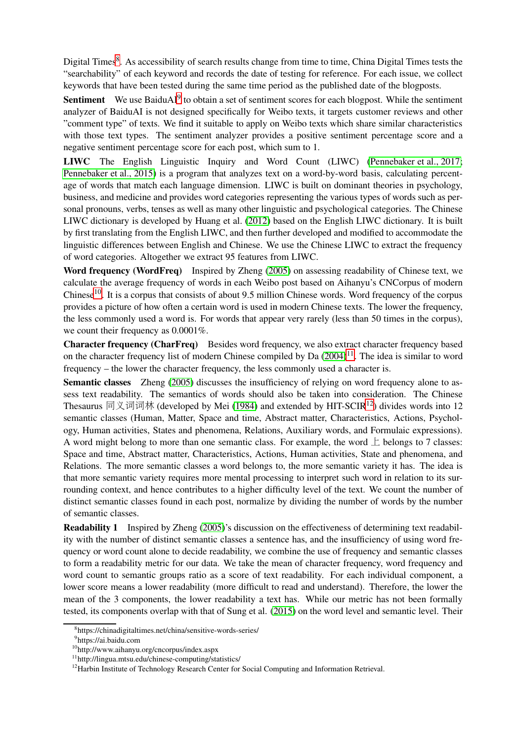Digital Times<sup>[8](#page-5-0)</sup>. As accessibility of search results change from time to time, China Digital Times tests the "searchability" of each keyword and records the date of testing for reference. For each issue, we collect keywords that have been tested during the same time period as the published date of the blogposts.

Sentiment We use BaiduAI<sup>[9](#page-5-1)</sup> to obtain a set of sentiment scores for each blogpost. While the sentiment analyzer of BaiduAI is not designed specifically for Weibo texts, it targets customer reviews and other "comment type" of texts. We find it suitable to apply on Weibo texts which share similar characteristics with those text types. The sentiment analyzer provides a positive sentiment percentage score and a negative sentiment percentage score for each post, which sum to 1.

LIWC The English Linguistic Inquiry and Word Count (LIWC) [\(Pennebaker et al., 2017;](#page-11-7) [Pennebaker et al., 2015\)](#page-11-8) is a program that analyzes text on a word-by-word basis, calculating percentage of words that match each language dimension. LIWC is built on dominant theories in psychology, business, and medicine and provides word categories representing the various types of words such as personal pronouns, verbs, tenses as well as many other linguistic and psychological categories. The Chinese LIWC dictionary is developed by Huang et al. [\(2012\)](#page-10-10) based on the English LIWC dictionary. It is built by first translating from the English LIWC, and then further developed and modified to accommodate the linguistic differences between English and Chinese. We use the Chinese LIWC to extract the frequency of word categories. Altogether we extract 95 features from LIWC.

Word frequency (WordFreq) Inspired by Zheng [\(2005\)](#page-11-9) on assessing readability of Chinese text, we calculate the average frequency of words in each Weibo post based on Aihanyu's CNCorpus of modern Chinese<sup>[10](#page-5-2)</sup>. It is a corpus that consists of about 9.5 million Chinese words. Word frequency of the corpus provides a picture of how often a certain word is used in modern Chinese texts. The lower the frequency, the less commonly used a word is. For words that appear very rarely (less than 50 times in the corpus), we count their frequency as 0.0001%.

Character frequency (CharFreq) Besides word frequency, we also extract character frequency based on the character frequency list of modern Chinese compiled by Da  $(2004)^{11}$  $(2004)^{11}$  $(2004)^{11}$ . The idea is similar to word frequency – the lower the character frequency, the less commonly used a character is.

Semantic classes Zheng [\(2005\)](#page-11-9) discusses the insufficiency of relying on word frequency alone to assess text readability. The semantics of words should also be taken into consideration. The Chinese Thesaurus 同义词词林 (developed by Mei [\(1984\)](#page-10-12) and extended by HIT-SCIR<sup>[12](#page-5-4)</sup>) divides words into 12 semantic classes (Human, Matter, Space and time, Abstract matter, Characteristics, Actions, Psychology, Human activities, States and phenomena, Relations, Auxiliary words, and Formulaic expressions). A word might belong to more than one semantic class. For example, the word  $\perp$  belongs to 7 classes: Space and time, Abstract matter, Characteristics, Actions, Human activities, State and phenomena, and Relations. The more semantic classes a word belongs to, the more semantic variety it has. The idea is that more semantic variety requires more mental processing to interpret such word in relation to its surrounding context, and hence contributes to a higher difficulty level of the text. We count the number of distinct semantic classes found in each post, normalize by dividing the number of words by the number of semantic classes.

<span id="page-5-5"></span>Readability 1 Inspired by Zheng [\(2005\)](#page-11-9)'s discussion on the effectiveness of determining text readability with the number of distinct semantic classes a sentence has, and the insufficiency of using word frequency or word count alone to decide readability, we combine the use of frequency and semantic classes to form a readability metric for our data. We take the mean of character frequency, word frequency and word count to semantic groups ratio as a score of text readability. For each individual component, a lower score means a lower readability (more difficult to read and understand). Therefore, the lower the mean of the 3 components, the lower readability a text has. While our metric has not been formally tested, its components overlap with that of Sung et al. [\(2015\)](#page-11-10) on the word level and semantic level. Their

<sup>8</sup> https://chinadigitaltimes.net/china/sensitive-words-series/

<span id="page-5-0"></span><sup>&</sup>lt;sup>9</sup>https://ai.baidu.com

<span id="page-5-1"></span><sup>10</sup>http://www.aihanyu.org/cncorpus/index.aspx

<span id="page-5-2"></span><sup>11</sup>http://lingua.mtsu.edu/chinese-computing/statistics/

<span id="page-5-4"></span><span id="page-5-3"></span><sup>&</sup>lt;sup>12</sup>Harbin Institute of Technology Research Center for Social Computing and Information Retrieval.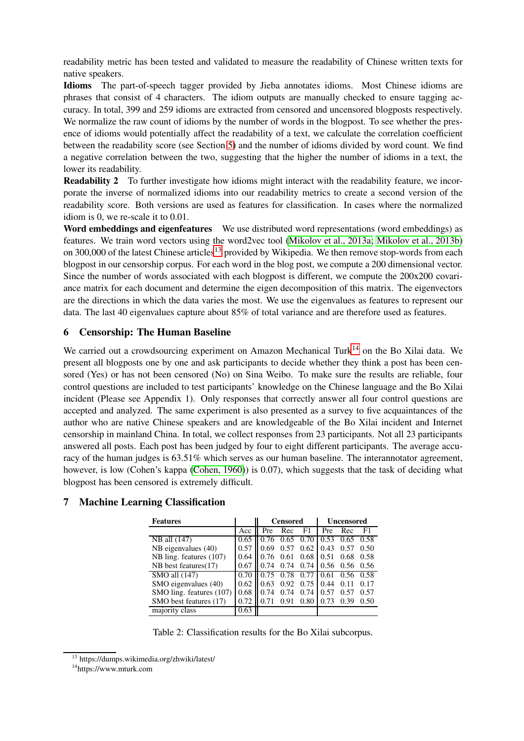readability metric has been tested and validated to measure the readability of Chinese written texts for native speakers.

Idioms The part-of-speech tagger provided by Jieba annotates idioms. Most Chinese idioms are phrases that consist of 4 characters. The idiom outputs are manually checked to ensure tagging accuracy. In total, 399 and 259 idioms are extracted from censored and uncensored blogposts respectively. We normalize the raw count of idioms by the number of words in the blogpost. To see whether the presence of idioms would potentially affect the readability of a text, we calculate the correlation coefficient between the readability score (see Section [5\)](#page-5-5) and the number of idioms divided by word count. We find a negative correlation between the two, suggesting that the higher the number of idioms in a text, the lower its readability.

Readability 2 To further investigate how idioms might interact with the readability feature, we incorporate the inverse of normalized idioms into our readability metrics to create a second version of the readability score. Both versions are used as features for classification. In cases where the normalized idiom is 0, we re-scale it to 0.01.

<span id="page-6-2"></span>Word embeddings and eigenfeatures We use distributed word representations (word embeddings) as features. We train word vectors using the word2vec tool [\(Mikolov et al., 2013a;](#page-10-13) [Mikolov et al., 2013b\)](#page-10-14) on 300,000 of the latest Chinese articles<sup>[13](#page-6-0)</sup> provided by Wikipedia. We then remove stop-words from each blogpost in our censorship corpus. For each word in the blog post, we compute a 200 dimensional vector. Since the number of words associated with each blogpost is different, we compute the 200x200 covariance matrix for each document and determine the eigen decomposition of this matrix. The eigenvectors are the directions in which the data varies the most. We use the eigenvalues as features to represent our data. The last 40 eigenvalues capture about 85% of total variance and are therefore used as features.

#### 6 Censorship: The Human Baseline

We carried out a crowdsourcing experiment on Amazon Mechanical Turk<sup>[14](#page-6-1)</sup> on the Bo Xilai data. We present all blogposts one by one and ask participants to decide whether they think a post has been censored (Yes) or has not been censored (No) on Sina Weibo. To make sure the results are reliable, four control questions are included to test participants' knowledge on the Chinese language and the Bo Xilai incident (Please see Appendix 1). Only responses that correctly answer all four control questions are accepted and analyzed. The same experiment is also presented as a survey to five acquaintances of the author who are native Chinese speakers and are knowledgeable of the Bo Xilai incident and Internet censorship in mainland China. In total, we collect responses from 23 participants. Not all 23 participants answered all posts. Each post has been judged by four to eight different participants. The average accuracy of the human judges is 63.51% which serves as our human baseline. The interannotator agreement, however, is low (Cohen's kappa [\(Cohen, 1960\)](#page-10-15)) is 0.07), which suggests that the task of deciding what blogpost has been censored is extremely difficult.

| <b>Features</b>           |      | <b>Censored</b> |      |      | <b>Uncensored</b> |           |             |
|---------------------------|------|-----------------|------|------|-------------------|-----------|-------------|
|                           | Acc  | Pre             | Rec  | F1   | Pre               | Rec       | F1          |
| $\overline{NB}$ all (147) | 0.65 | 0.76            | 0.65 | 0.70 | 0.53              | 0.65      | 0.58        |
| NB eigenvalues $(40)$     | 0.57 | 0.69            | 0.57 | 0.62 | 0.43              | 0.57      | 0.50        |
| NB ling. features (107)   | 0.64 | 0.76            | 0.61 | 0.68 | 0.51              | 0.68      | 0.58        |
| NB best features(17)      | 0.67 | 0.74            | 0.74 | 0.74 | 0.56              | 0.56 0.56 |             |
| SMO all (147)             | 0.70 |                 | 0.78 | 0.77 | 0.61              |           | $0.56$ 0.58 |
| SMO eigenvalues (40)      | 0.62 | 0.63            | 0.92 | 0.75 | 0.44              | 0.11      | 0.17        |
| SMO ling. features (107)  | 0.68 | 0.74            | 0.74 | 0.74 | 0.57              | 0.57      | 0.57        |
| SMO best features (17)    | 0.72 |                 | 0.91 | 0.80 | 0.73              | 0.39      | 0.50        |
| majority class            | 0.63 |                 |      |      |                   |           |             |

#### 7 Machine Learning Classification

<span id="page-6-3"></span>Table 2: Classification results for the Bo Xilai subcorpus.

<sup>13</sup> https://dumps.wikimedia.org/zhwiki/latest/

<span id="page-6-1"></span><span id="page-6-0"></span><sup>14</sup>https://www.mturk.com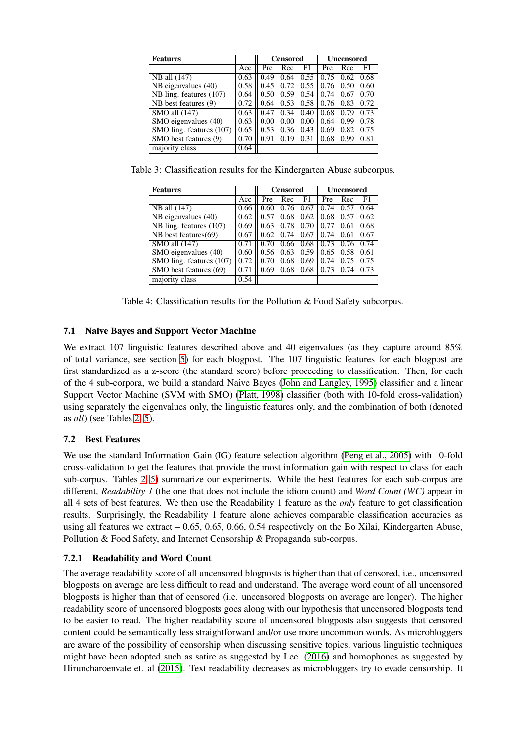| <b>Features</b>                   |      | <b>Censored</b> |      |                   | <b>Uncensored</b> |      |      |
|-----------------------------------|------|-----------------|------|-------------------|-------------------|------|------|
|                                   | Acc  | Pre             | Rec  | F1                | Pre               | Rec  | F1   |
| $NB$ all $(147)$                  | 0.63 | 0.49            | 0.64 | 0.55              | 0.75              | 0.62 | 0.68 |
| NB eigenvalues (40)               | 0.58 | 0.45            | 0.72 | 0.55              | 0.76              | 0.50 | 0.60 |
| NB ling. features (107)           | 0.64 | 0.50            | 0.59 | 0.54              | 0.74              | 0.67 | 0.70 |
| NB best features (9)              | 0.72 | 0.64            | 0.53 | 0.58              | 0.76              | 0.83 | 0.72 |
| $\overline{\text{SMO}}$ all (147) | 0.63 | 0.47            | 0.34 | 0.40              | 0.68              | 0.79 | 0.73 |
| SMO eigenvalues (40)              | 0.63 | 0.00            | 0.00 | 0.00 <sub>l</sub> | 0.64              | 0.99 | 0.78 |
| SMO ling. features (107)          | 0.65 | 0.53            | 0.36 | 0.43              | 0.69              | 0.82 | 0.75 |
| SMO best features (9)             | 0.70 | 0.91            | 0.19 | 0.31              | 0.68              | 0.99 | 0.81 |
| majority class                    | 0.64 |                 |      |                   |                   |      |      |

Table 3: Classification results for the Kindergarten Abuse subcorpus.

| <b>Features</b>                   |      | <b>Censored</b> |      |             | Uncensored |      |      |
|-----------------------------------|------|-----------------|------|-------------|------------|------|------|
|                                   | Acc  | Pre             | Rec  | F1          | Pre        | Rec  | F1.  |
| NB all (147)                      | 0.66 | (0.60)          | 0.76 | 0.67        | 0.74       | 0.57 | 0.64 |
| NB eigenvalues $(40)$             | 0.62 | 0.57            | 0.68 | 0.62        | 0.68       | 0.57 | 0.62 |
| NB ling. features (107)           | 0.69 | 0.63            | 0.78 | 0.70        | 0.77       | 0.61 | 0.68 |
| NB best features(69)              | 0.67 | 0.62            | 0.74 | 0.67        | 0.74       | 0.61 | 0.67 |
| $\overline{\text{SMO}}$ all (147) | 0.71 |                 |      | $0.66$ 0.68 | 0.73       | 0.76 | 0.74 |
| SMO eigenvalues (40)              | 0.60 | 0.56            | 0.63 | 0.59        | 0.65       | 0.58 | 0.61 |
| SMO ling. features (107)          | 0.72 |                 | 0.68 | 0.69        | 0.74       | 0.75 | 0.75 |
| SMO best features (69)            | 0.71 | 0.69            | 0.68 | 0.68        | 0.73       | 0.74 | 0.73 |
| majority class                    | 0.54 |                 |      |             |            |      |      |

Table 4: Classification results for the Pollution & Food Safety subcorpus.

## 7.1 Naive Bayes and Support Vector Machine

We extract 107 linguistic features described above and 40 eigenvalues (as they capture around 85% of total variance, see section [5\)](#page-6-2) for each blogpost. The 107 linguistic features for each blogpost are first standardized as a z-score (the standard score) before proceeding to classification. Then, for each of the 4 sub-corpora, we build a standard Naive Bayes [\(John and Langley, 1995\)](#page-10-16) classifier and a linear Support Vector Machine (SVM with SMO) [\(Platt, 1998\)](#page-11-11) classifier (both with 10-fold cross-validation) using separately the eigenvalues only, the linguistic features only, and the combination of both (denoted as *all*) (see Tables [2](#page-6-3)[–5\)](#page-8-0).

# 7.2 Best Features

We use the standard Information Gain (IG) feature selection algorithm [\(Peng et al., 2005\)](#page-10-17) with 10-fold cross-validation to get the features that provide the most information gain with respect to class for each sub-corpus. Tables [2–](#page-6-3)[5\)](#page-8-0) summarize our experiments. While the best features for each sub-corpus are different, *Readability 1* (the one that does not include the idiom count) and *Word Count (WC)* appear in all 4 sets of best features. We then use the Readability 1 feature as the *only* feature to get classification results. Surprisingly, the Readability 1 feature alone achieves comparable classification accuracies as using all features we extract – 0.65, 0.65, 0.66, 0.54 respectively on the Bo Xilai, Kindergarten Abuse, Pollution & Food Safety, and Internet Censorship & Propaganda sub-corpus.

#### 7.2.1 Readability and Word Count

The average readability score of all uncensored blogposts is higher than that of censored, i.e., uncensored blogposts on average are less difficult to read and understand. The average word count of all uncensored blogposts is higher than that of censored (i.e. uncensored blogposts on average are longer). The higher readability score of uncensored blogposts goes along with our hypothesis that uncensored blogposts tend to be easier to read. The higher readability score of uncensored blogposts also suggests that censored content could be semantically less straightforward and/or use more uncommon words. As microbloggers are aware of the possibility of censorship when discussing sensitive topics, various linguistic techniques might have been adopted such as satire as suggested by Lee [\(2016\)](#page-10-6) and homophones as suggested by Hiruncharoenvate et. al [\(2015\)](#page-10-7). Text readability decreases as microbloggers try to evade censorship. It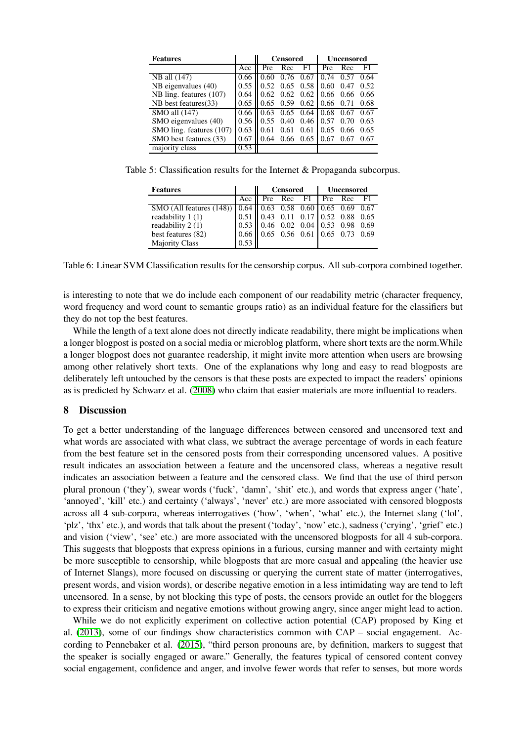| <b>Features</b>          |      | <b>Censored</b> |             |                              | <b>Uncensored</b> |             |      |
|--------------------------|------|-----------------|-------------|------------------------------|-------------------|-------------|------|
|                          | Acc  | Pre             | Rec         | F1                           | Pre               | Rec         | F1   |
| NB all (147)             | 0.66 | 0.60            | 0.76        | 0.67                         | 0.74              | 0.57        | 0.64 |
| NB eigenvalues (40)      | 0.55 | 0.52            | $0.65$ 0.58 |                              | 0.60              | 0.47        | 0.52 |
| NB ling. features (107)  | 0.64 |                 |             | $0.62 \quad 0.62 \quad 0.62$ |                   | $0.66$ 0.66 | 0.66 |
| NB best features(33)     | 0.65 | 0.65            | 0.59        | 0.62                         | 0.66              | 0.71        | 0.68 |
| SMO all (147)            | 0.66 | 0.63            | $0.65$ 0.64 |                              | 0.68              | 0.67        | 0.67 |
| SMO eigenvalues (40)     | 0.56 | 0.55            | 0.40        | 0.46                         | 0.57              | 0.70        | 0.63 |
| SMO ling. features (107) | 0.63 | 0.61            | 0.61        | 0.61                         | 0.65              | 0.66        | 0.65 |
| SMO best features (33)   | 0.67 | 0.64            | 0.66        | 0.65                         | 0.67              | 0.67        | 0.67 |
| majority class           | 0.53 |                 |             |                              |                   |             |      |

Table 5: Classification results for the Internet & Propaganda subcorpus.

<span id="page-8-0"></span>

| <b>Features</b>                                                 |                                      | <b>Censored</b>                      |  |                      | Uncensored |  |      |
|-----------------------------------------------------------------|--------------------------------------|--------------------------------------|--|----------------------|------------|--|------|
|                                                                 | Acc                                  |                                      |  | Pre Rec F1   Pre Rec |            |  | - F1 |
| SMO (All features (148))   0.64   0.63 0.58 0.60 0.65 0.69 0.67 |                                      |                                      |  |                      |            |  |      |
| readability 1 (1)                                               |                                      | $0.51$ 0.43 0.11 0.17 0.52 0.88 0.65 |  |                      |            |  |      |
| readability 2 (1)                                               | $0.53$ 0.46 0.02 0.04 0.53 0.98 0.69 |                                      |  |                      |            |  |      |
| best features (82)                                              | $0.66$ 0.65 0.56 0.61 0.65 0.73 0.69 |                                      |  |                      |            |  |      |
| <b>Majority Class</b>                                           | 0.53                                 |                                      |  |                      |            |  |      |

Table 6: Linear SVM Classification results for the censorship corpus. All sub-corpora combined together.

is interesting to note that we do include each component of our readability metric (character frequency, word frequency and word count to semantic groups ratio) as an individual feature for the classifiers but they do not top the best features.

While the length of a text alone does not directly indicate readability, there might be implications when a longer blogpost is posted on a social media or microblog platform, where short texts are the norm.While a longer blogpost does not guarantee readership, it might invite more attention when users are browsing among other relatively short texts. One of the explanations why long and easy to read blogposts are deliberately left untouched by the censors is that these posts are expected to impact the readers' opinions as is predicted by Schwarz et al. [\(2008\)](#page-11-3) who claim that easier materials are more influential to readers.

#### 8 Discussion

To get a better understanding of the language differences between censored and uncensored text and what words are associated with what class, we subtract the average percentage of words in each feature from the best feature set in the censored posts from their corresponding uncensored values. A positive result indicates an association between a feature and the uncensored class, whereas a negative result indicates an association between a feature and the censored class. We find that the use of third person plural pronoun ('they'), swear words ('fuck', 'damn', 'shit' etc.), and words that express anger ('hate', 'annoyed', 'kill' etc.) and certainty ('always', 'never' etc.) are more associated with censored blogposts across all 4 sub-corpora, whereas interrogatives ('how', 'when', 'what' etc.), the Internet slang ('lol', 'plz', 'thx' etc.), and words that talk about the present ('today', 'now' etc.), sadness ('crying', 'grief' etc.) and vision ('view', 'see' etc.) are more associated with the uncensored blogposts for all 4 sub-corpora. This suggests that blogposts that express opinions in a furious, cursing manner and with certainty might be more susceptible to censorship, while blogposts that are more casual and appealing (the heavier use of Internet Slangs), more focused on discussing or querying the current state of matter (interrogatives, present words, and vision words), or describe negative emotion in a less intimidating way are tend to left uncensored. In a sense, by not blocking this type of posts, the censors provide an outlet for the bloggers to express their criticism and negative emotions without growing angry, since anger might lead to action.

While we do not explicitly experiment on collective action potential (CAP) proposed by King et al. [\(2013\)](#page-10-5), some of our findings show characteristics common with CAP – social engagement. According to Pennebaker et al. [\(2015\)](#page-11-8), "third person pronouns are, by definition, markers to suggest that the speaker is socially engaged or aware." Generally, the features typical of censored content convey social engagement, confidence and anger, and involve fewer words that refer to senses, but more words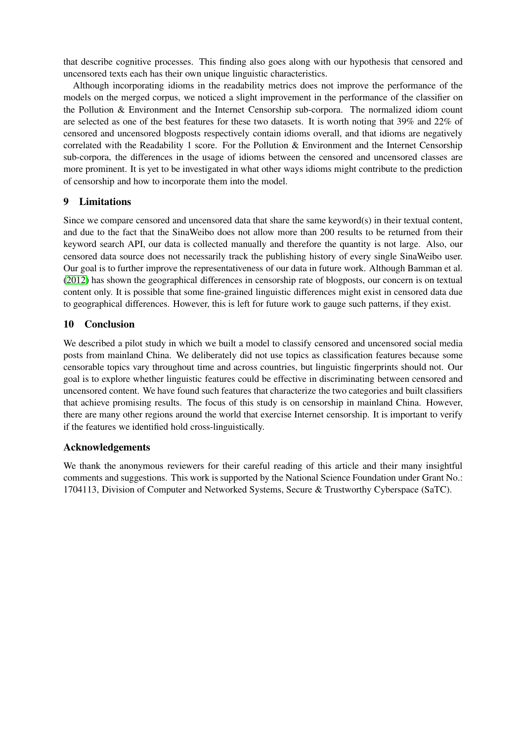that describe cognitive processes. This finding also goes along with our hypothesis that censored and uncensored texts each has their own unique linguistic characteristics.

Although incorporating idioms in the readability metrics does not improve the performance of the models on the merged corpus, we noticed a slight improvement in the performance of the classifier on the Pollution & Environment and the Internet Censorship sub-corpora. The normalized idiom count are selected as one of the best features for these two datasets. It is worth noting that 39% and 22% of censored and uncensored blogposts respectively contain idioms overall, and that idioms are negatively correlated with the Readability 1 score. For the Pollution & Environment and the Internet Censorship sub-corpora, the differences in the usage of idioms between the censored and uncensored classes are more prominent. It is yet to be investigated in what other ways idioms might contribute to the prediction of censorship and how to incorporate them into the model.

## 9 Limitations

Since we compare censored and uncensored data that share the same keyword(s) in their textual content, and due to the fact that the SinaWeibo does not allow more than 200 results to be returned from their keyword search API, our data is collected manually and therefore the quantity is not large. Also, our censored data source does not necessarily track the publishing history of every single SinaWeibo user. Our goal is to further improve the representativeness of our data in future work. Although Bamman et al. [\(2012\)](#page-10-8) has shown the geographical differences in censorship rate of blogposts, our concern is on textual content only. It is possible that some fine-grained linguistic differences might exist in censored data due to geographical differences. However, this is left for future work to gauge such patterns, if they exist.

## 10 Conclusion

We described a pilot study in which we built a model to classify censored and uncensored social media posts from mainland China. We deliberately did not use topics as classification features because some censorable topics vary throughout time and across countries, but linguistic fingerprints should not. Our goal is to explore whether linguistic features could be effective in discriminating between censored and uncensored content. We have found such features that characterize the two categories and built classifiers that achieve promising results. The focus of this study is on censorship in mainland China. However, there are many other regions around the world that exercise Internet censorship. It is important to verify if the features we identified hold cross-linguistically.

#### Acknowledgements

We thank the anonymous reviewers for their careful reading of this article and their many insightful comments and suggestions. This work is supported by the National Science Foundation under Grant No.: 1704113, Division of Computer and Networked Systems, Secure & Trustworthy Cyberspace (SaTC).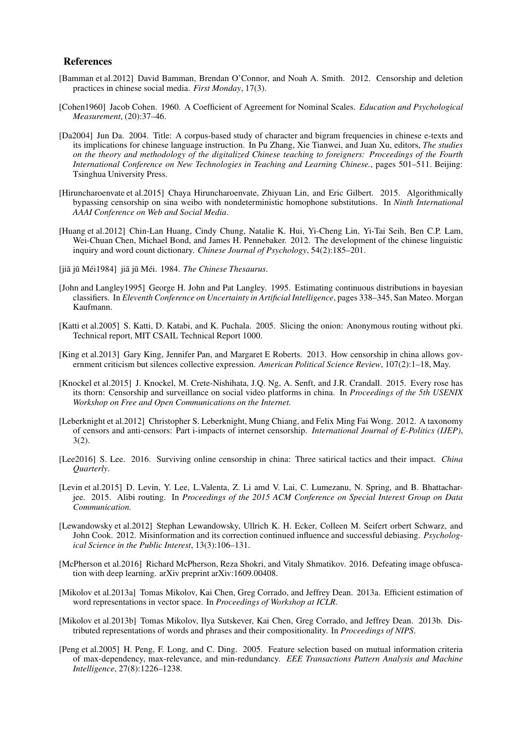#### References

- <span id="page-10-8"></span>[Bamman et al.2012] David Bamman, Brendan O'Connor, and Noah A. Smith. 2012. Censorship and deletion practices in chinese social media. *First Monday*, 17(3).
- <span id="page-10-15"></span>[Cohen1960] Jacob Cohen. 1960. A Coefficient of Agreement for Nominal Scales. *Education and Psychological Measurement*, (20):37–46.
- <span id="page-10-11"></span>[Da2004] Jun Da. 2004. Title: A corpus-based study of character and bigram frequencies in chinese e-texts and its implications for chinese language instruction. In Pu Zhang, Xie Tianwei, and Juan Xu, editors, *The studies on the theory and methodology of the digitalized Chinese teaching to foreigners: Proceedings of the Fourth International Conference on New Technologies in Teaching and Learning Chinese.*, pages 501–511. Beijing: Tsinghua University Press.
- <span id="page-10-7"></span>[Hiruncharoenvate et al.2015] Chaya Hiruncharoenvate, Zhiyuan Lin, and Eric Gilbert. 2015. Algorithmically bypassing censorship on sina weibo with nondeterministic homophone substitutions. In *Ninth International AAAI Conference on Web and Social Media*.
- <span id="page-10-10"></span>[Huang et al.2012] Chin-Lan Huang, Cindy Chung, Natalie K. Hui, Yi-Cheng Lin, Yi-Tai Seih, Ben C.P. Lam, Wei-Chuan Chen, Michael Bond, and James H. Pennebaker. 2012. The development of the chinese linguistic inquiry and word count dictionary. *Chinese Journal of Psychology*, 54(2):185–201.
- <span id="page-10-12"></span>[jiā jū Méi1984] jiā jū Méi. 1984. *The Chinese Thesaurus*.
- <span id="page-10-16"></span>[John and Langley1995] George H. John and Pat Langley. 1995. Estimating continuous distributions in bayesian classifiers. In *Eleventh Conference on Uncertainty in Artificial Intelligence*, pages 338–345, San Mateo. Morgan Kaufmann.
- <span id="page-10-1"></span>[Katti et al.2005] S. Katti, D. Katabi, and K. Puchala. 2005. Slicing the onion: Anonymous routing without pki. Technical report, MIT CSAIL Technical Report 1000.
- <span id="page-10-5"></span>[King et al.2013] Gary King, Jennifer Pan, and Margaret E Roberts. 2013. How censorship in china allows government criticism but silences collective expression. *American Political Science Review*, 107(2):1–18, May.
- <span id="page-10-4"></span>[Knockel et al.2015] J. Knockel, M. Crete-Nishihata, J.Q. Ng, A. Senft, and J.R. Crandall. 2015. Every rose has its thorn: Censorship and surveillance on social video platforms in china. In *Proceedings of the 5th USENIX Workshop on Free and Open Communications on the Internet.*
- <span id="page-10-0"></span>[Leberknight et al.2012] Christopher S. Leberknight, Mung Chiang, and Felix Ming Fai Wong. 2012. A taxonomy of censors and anti-censors: Part i-impacts of internet censorship. *International Journal of E-Politics (IJEP)*, 3(2).
- <span id="page-10-6"></span>[Lee2016] S. Lee. 2016. Surviving online censorship in china: Three satirical tactics and their impact. *China Quarterly*.
- <span id="page-10-2"></span>[Levin et al.2015] D. Levin, Y. Lee, L.Valenta, Z. Li amd V. Lai, C. Lumezanu, N. Spring, and B. Bhattacharjee. 2015. Alibi routing. In *Proceedings of the 2015 ACM Conference on Special Interest Group on Data Communication.*
- <span id="page-10-9"></span>[Lewandowsky et al.2012] Stephan Lewandowsky, Ullrich K. H. Ecker, Colleen M. Seifert orbert Schwarz, and John Cook. 2012. Misinformation and its correction continued influence and successful debiasing. *Psychological Science in the Public Interest*, 13(3):106–131.
- <span id="page-10-3"></span>[McPherson et al.2016] Richard McPherson, Reza Shokri, and Vitaly Shmatikov. 2016. Defeating image obfuscation with deep learning. arXiv preprint arXiv:1609.00408.
- <span id="page-10-13"></span>[Mikolov et al.2013a] Tomas Mikolov, Kai Chen, Greg Corrado, and Jeffrey Dean. 2013a. Efficient estimation of word representations in vector space. In *Proceedings of Workshop at ICLR*.
- <span id="page-10-14"></span>[Mikolov et al.2013b] Tomas Mikolov, Ilya Sutskever, Kai Chen, Greg Corrado, and Jeffrey Dean. 2013b. Distributed representations of words and phrases and their compositionality. In *Proceedings of NIPS*.
- <span id="page-10-17"></span>[Peng et al.2005] H. Peng, F. Long, and C. Ding. 2005. Feature selection based on mutual information criteria of max-dependency, max-relevance, and min-redundancy. *EEE Transactions Pattern Analysis and Machine Intelligence*, 27(8):1226–1238.